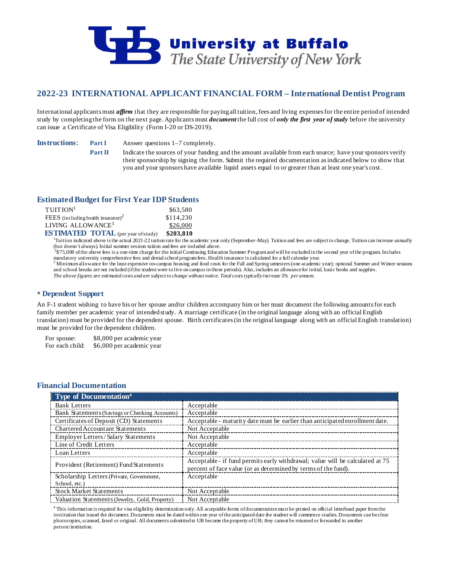

# **2022-23 INTERNATIONAL APPLICANT FINANCIAL FORM – International Dentist Program**

International applicants must *affirm* that they are responsible for paying all tuition, fees and living expenses for the entire period of intended study by completing the form on the next page. Applicants must *document* the full cost of *only the first year of study* before the university can issue a Certificate of Visa Eligibility (Form I-20 or DS-2019).

**Instructions: Part I** Answer questions 1–7 completely.

**Part II** Indicate the sources of your funding and the amount available from each source; have your sponsors verify their sponsorship by signing the form. Submit the required documentation as indicated below to show that you and your sponsors have available liquid assets equal to or greater than at least one year's cost.

## **Estimated Budget for First Year IDP Students**

| $T$ UITION <sup>1</sup>                    | \$63,580  |
|--------------------------------------------|-----------|
| FEES (including health insurance) $2$      | \$114,230 |
| LIVING ALLOWANCE <sup>3</sup>              | \$26,000  |
| <b>ESTIMATED TOTAL</b> (per year of study) | \$203.810 |

<sup>1</sup>Tuition indicated above is the actual 2021-22 tuition rate for the academic year only (September–May). Tuition and fees are subject to change. Tuition can increase annually (but doesn't always). Initial summer session tuition and fees are included above.

 $3575,000$  of the above fees is a one-time charge for the initial Continuing Education Summer Program and will be excluded in the second year of the program. Includes mandatory university comprehensive fees and dental sch

<sup>3</sup> Minimum allowance for the least expensive on-campus housing and food costs for the Fall and Spring semesters (one academic year); optional Summer and Winter sessions and school breaks are not included (if the student were to live on campus in those periods). Also, includes an allowance for initial, basic books and supplies. *The above figures are estimated costs and are subject to change without notice. Total costs typically increase 5% per annum.*

# **Dependent Support**

An F-1 student wishing to have his or her spouse and/or children accompany him or her must document the following amounts for each family member per academic year of intended study. A marriage certificate (in the original language along with an official English translation) must be provided for the dependent spouse. Birth certificates (in the original language along with an official English translation) must be provided for the dependent children.

For spouse: \$8,000 per academic year For each child: \$6,000 per academic year

## **Financial Documentation**

| Type of Documentation <sup>4</sup>             |                                                                                                                                                 |
|------------------------------------------------|-------------------------------------------------------------------------------------------------------------------------------------------------|
| <b>Bank Letters</b>                            | Acceptable                                                                                                                                      |
| Bank Statements (Savings or Checking Accounts) | Acceptable                                                                                                                                      |
| Certificates of Deposit (CD) Statements        | Acceptable - maturity date must be earlier than anticipated enrollment date.                                                                    |
| <b>Chartered Accountant Statements</b>         | Not Acceptable                                                                                                                                  |
| <b>Employer Letters/Salary Statements</b>      | Not Acceptable                                                                                                                                  |
| Line of Credit Letters                         | Acceptable                                                                                                                                      |
| Loan Letters                                   | Acceptable                                                                                                                                      |
| Provident (Retirement) Fund Statements         | Acceptable - if fund permits early withdrawal; value will be calculated at 75<br>percent of face value (or as determined by terms of the fund). |
| Scholarship Letters (Private, Government,      | Acceptable                                                                                                                                      |
| School, etc.)                                  |                                                                                                                                                 |
| <b>Stock Market Statements</b>                 | Not Acceptable                                                                                                                                  |
| Valuation Statements (Jewelry, Gold, Property) | Not Acceptable                                                                                                                                  |

4 This information is required for visa eligibility determination only. All acceptable forms of documentation must be printed on official letterhead paper from the institution that issued the document. Documents must be dated within one year of the anticipated date the student will commence studies. Documents can be clear photocopies, scanned, faxed or original. All documents submitted to UB become the property of UB; they cannot be returned or forwarded to another person/institution.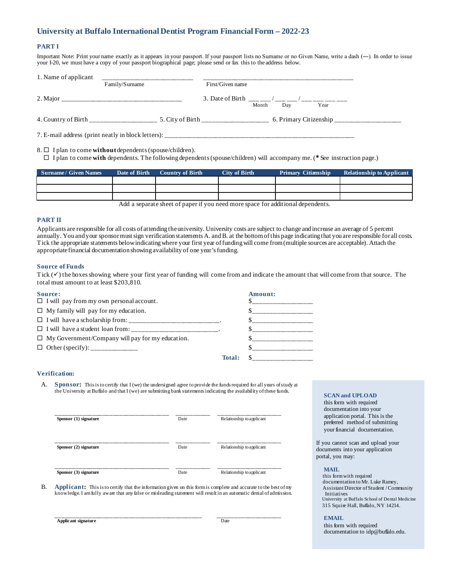# **University at Buffalo International Dentist Program Financial Form – 2022-23**

### **PART I**

Important Note: Print your name exactly as it appears in your passport. If your passport lists no Surname or no Given Name, write a dash (―). In order to issue your I-20, we must have a copy of your passport biographical page; please send or fax this to the address below.

| 1. Name of applicant |                |                                                                               |  |
|----------------------|----------------|-------------------------------------------------------------------------------|--|
|                      | Family/Surname | First/Given name                                                              |  |
|                      |                | 3. Date of Birth ___ __/ ___ __/ ___ ___/ ___ ___ ___<br>Month<br>Dav<br>Year |  |
|                      |                | 5. City of Birth ___________________                                          |  |
|                      |                |                                                                               |  |

8.  $\Box$  I plan to come **without** dependents (spouse/children).

 $\Box$  I plan to come **with** dependents. The following dependents (spouse/children) will accompany me. (\* See instruction page.)

| Surname/ Given Names | Date of Birth | <b>Country of Birth</b> | City of Birth | Primary Citizenship | <b>Relationship to Applicant</b> |
|----------------------|---------------|-------------------------|---------------|---------------------|----------------------------------|
|                      |               |                         |               |                     |                                  |
|                      |               |                         |               |                     |                                  |
|                      |               |                         |               |                     |                                  |
|                      | .             | $\sim$ $\sim$<br>$\sim$ | $\sim$        |                     |                                  |

Add a separate sheet of paper if you need more space for additional dependents.

### **PART II**

Applicants are responsible for all costs of attending the university. University costs are subject to change and increase an average of 5 percent annually. You and your sponsor must sign verification statements A. and B. at the bottom of this page indicating that you are responsible for all costs. Tick the appropriate statements below indicating where your first year of funding will come from (multiple sources are acceptable). Attach the appropriate financial documentation showing availability of one year's funding.

#### **Source of Funds**

Tick  $(\checkmark)$  the boxes showing where your first year of funding will come from and indicate the amount that will come from that source. The total must amount to at least \$203,810.

| Source:                                                            |        | Amount:                   |
|--------------------------------------------------------------------|--------|---------------------------|
| $\Box$ I will pay from my own personal account.                    |        | ১____________________     |
| $\Box$ My family will pay for my education.                        |        | $s$ ____________________  |
| $\Box$ I will have a scholarship from: __________________________. |        | \$_____________________   |
| $\Box$ I will have a student loan from:                            |        |                           |
| $\Box$ My Government/Company will pay for my education.            |        |                           |
|                                                                    |        |                           |
|                                                                    | Total: | \$    ___________________ |

### **Verification:**

A. **Sponsor:** This is to certify that I (we) the undersigned agree to provide the funds required for all years of study at the University at Buffalo and that I (we) are submitting bank statements indicating the availability of these funds. **SCAN and UPLOAD**

| Sponsor (1) signature   | Date | Relationship to applicant |
|-------------------------|------|---------------------------|
| Sponsor (2) signature   | Date | Relationship to applicant |
| Sponsor $(3)$ signature | Date | Relationship to applicant |

B. **Applicant:** This is to certify that the information given on this form is complete and accurate to the best of my knowledge. I am fully aware that any false or misleading statement will result in an automatic denial of admission.

 **Applicant signature** Date

\_\_\_\_\_\_\_\_\_\_\_\_\_\_\_\_\_\_\_\_\_\_\_\_\_\_\_\_\_\_\_\_\_\_\_\_\_\_\_\_\_\_\_\_ \_\_\_\_\_\_\_\_\_\_\_\_\_\_\_\_\_\_\_

 this form with required documentation into your application portal. This is the preferred method of submitting your financial documentation.

If you cannot scan and upload your documents into your application portal, you may:

#### **MAIL**

 this form with required documentation to Mr. Luke Ramey, Assistant Director of Student / Community Initiatives University at Buffalo School of Dental Medicine 315 Squire Hall, Buffalo, NY 14214.

#### **EMAIL**

 this form with required documentation to idp@buffalo.edu.